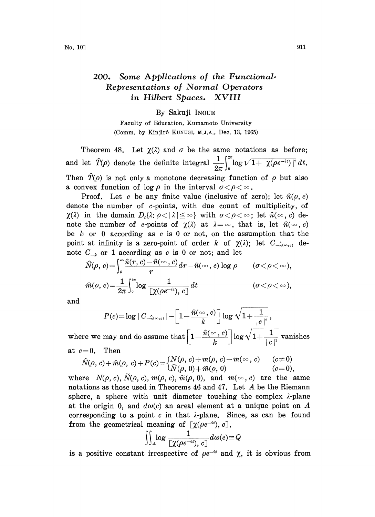## 200. Some Applications of the Functional. Representations of Normal Operators in Hilbert Spaces. XVIII

## By Sakuji INOUE

Faculty of Education, Kumamoto University (Comm. by Kinjirô KUNUGI, M.J.A., Dec. 13, 1965)

Theorem 48. Let  $\chi(\lambda)$  and  $\sigma$  be the same notations as before; and let  $\hat{T}(\rho)$  denote the definite integral  $\frac{1}{2\pi}\int_{0}^{2\pi} \log \sqrt{1+|\chi(\rho e^{-it})|^2} dt$ . Then  $\hat{T}(\rho)$  is not only a monotone decreasing function of  $\rho$  but also a convex function of  $\log \rho$  in the interval  $\sigma < \rho < \infty$ .

Proof. Let c be any finite value (inclusive of zero); let  $\hat{n}(\rho, c)$ denote the number of c-points, with due count of multiplicity, of  $\chi(\lambda)$  in the domain  $D_{\rho}(\lambda; \rho \leq |\lambda| \leq \infty)$  with  $\sigma \leq \rho \leq \infty$ ; let  $\hat{n}(\infty, c)$  denote the number of c-points of  $\chi(\lambda)$  at  $\lambda = \infty$ , that is, let  $\hat{n}(\infty, c)$ be k or 0 according as c is 0 or not, on the assumption that the point at infinity is a zero-point of order k of  $\chi(\lambda)$ ; let  $C_{\lambda(\infty,c)}$  de-

$$
\begin{aligned} &\text{note}~~C_{-k}~~\text{or}~~1~\text{according as}~~c~~\text{is}~~0~~\text{or}~~\text{not};~~\text{and}~~\text{let}\\ &\quad \widehat{N}(\rho,~c)\!=\!\!\int_\rho^\infty&\!\!\!\!\frac{\widehat{n}(r,c)\!-\!\widehat{n}(\infty,c)}{r}dr\!-\!\widehat{n}(\infty,c)~\text{log}~\rho\qquad(\sigma\!<\!\rho\!<\!\infty),\\ &\quad \widehat{m}(\rho,~c)\!=\!\frac{1}{2\pi}\!\int_0^{2\pi}\!\!\!\log\frac{1}{\left[\chi(\rho e^{-it}),~c\right]}~\!dt\qquad\qquad(\sigma\!<\!\rho\!<\!\infty), \end{aligned}
$$

and

$$
P(c) {=} \log{\mid C_{-\hat{\pi}(\infty, c)}\mid} {-} \bigg[1 {-} \frac{\widehat{n}(\infty, c)}{k}\bigg] \log{\sqrt{1{+} \frac{1}{\mid c \mid ^{2}}}}\,,
$$

where we may and do assume that  $\left[1-\frac{\hat{n}(\infty,c)}{k}\right] \log \sqrt{1+\frac{1}{|c|^2}}$  vanishes at  $c=0$ . Then

$$
\hat{N}(\rho, c) + \hat{m}(\rho, c) + P(c) = \begin{cases} N(\rho, c) + m(\rho, c) - m(\infty, c) & (c \neq 0) \\ \widetilde{N}(\rho, 0) + \widetilde{m}(\rho, 0) & (c = 0), \end{cases}
$$

where  $N(\rho, c)$ ,  $\tilde{N}(\rho, c)$ ,  $m(\rho, c)$ ,  $\tilde{m}(\rho, 0)$ , and  $m(\infty, c)$  are the same notations as those used in Theorems <sup>46</sup> and 47. Let A be the Riemann sphere, a sphere with unit diameter touching the complex  $\lambda$ -plane at the origin 0, and  $d\omega(c)$  an areal element at a unique point on A corresponding to a point  $c$  in that  $\lambda$ -plane. Since, as can be found from the geometrical meaning of  $[\chi(\rho e^{-it}), c],$ 

$$
\iint_A \log \frac{1}{[\chi(\rho e^{-it}), c]} d\omega(c) \! \equiv \! Q
$$

is a positive constant irrespective of  $\rho e^{-it}$  and  $\chi$ , it is obvious from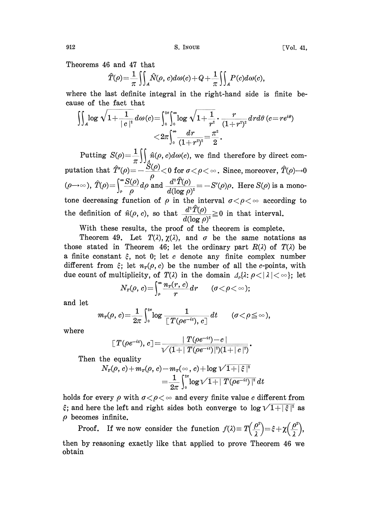Theorems 46 and 47 that

$$
\widehat{T}(\rho) = \frac{1}{\pi} \iiint_A \widehat{N}(\rho, c) d\omega(c) + Q + \frac{1}{\pi} \iiint_A P(c) d\omega(c),
$$

where the last definite integral in the right-hand side is finite because of the fact that

$$
\begin{aligned} \int\!\!\!\int_A\!\log\sqrt{1\!+\!\frac{1}{\mid c\mid^2}}\,d\omega(c)\!=\!\!\int_{\mathfrak o}^{z\pi}\!\!\!\int_{\mathfrak o}^\infty\!\log\sqrt{1\!+\!\frac{1}{r^2}}\!\cdot\frac{r}{(1\!+\!r^2)^2}dr d\theta\, (c\!=\!re^{i\theta})\\ <&\!2\pi\!\!\int_{\mathfrak o}^\infty\!\frac{dr}{(1\!+\!r^2)^2}\!=\!\frac{\pi^2}{2}. \end{aligned}
$$

Putting  $S(\rho) = \frac{1}{\pi} \int \int_A \hat{n}(\rho, c) d\omega(c)$ , we find therefore by direct computation that  $\hat{T}'(\rho) = -\frac{\hat{S}(\rho)}{\rho} < 0 \text{ for } \sigma < \rho < \infty$ . Since, moreover,  $\hat{T}(\rho) \rightarrow 0$ <br>  $(\rho \rightarrow \infty)$ ,  $\hat{T}(\rho) = \int_{\rho}^{\infty} \frac{S(\rho)}{\rho} d\rho$  and  $\frac{d^2 \hat{T}(\rho)}{d(\log \rho)^2} = -S'(\rho) \rho$ . Here  $S(\rho)$  is a monotone decreasing function of  $\rho$  in the interval  $\sigma < \rho < \infty$  according to the definition of  $\hat{n}(\rho, c)$ , so that  $\frac{d^2 \hat{T}(\rho)}{d(\log \rho)^2} \geq 0$  in that interval.

With these results, the proof of the theorem is complete.

Theorem 49. Let  $T(\lambda)$ ,  $\chi(\lambda)$ , and  $\sigma$  be the same notations as those stated in Theorem 46; let the ordinary part  $R(\lambda)$  of  $T(\lambda)$  be a finite constant  $\xi$ , not 0; let c denote any finite complex number different from  $\xi$ ; let  $n_r(\rho, c)$  be the number of all the c-points, with due count of multiplicity, of  $T(\lambda)$  in the domain  $\Delta_{\rho} {\lambda : \rho < |\lambda| < \infty }$ ; let

$$
N_{\scriptscriptstyle T}(\rho,\,c)\!=\!\int_\rho^\infty\!\frac{n_{\scriptscriptstyle T}(r,\,c)}{r}dr\qquad(\sigma\!<\!\rho\!<\!\infty);
$$

and let

$$
m_{\scriptscriptstyle T}(\rho,\,c){=}\frac{1}{2\pi}\int^{\scriptscriptstyle 2\pi}_{{\scriptscriptstyle 0}}\log\frac{1}{\,[\,T(\rho e^{-it}),\,c\,]}\,dt\qquad({\scriptstyle\sigma}{<}\rho{\,\leq\,}\infty{\,}),
$$

where

$$
\llbracket\, T(\rho e^{-it}),\,c\,\rrbracket \!=\! \frac{\mid T(\rho e^{-it})\!-\!c\,\mid}{\sqrt{(1\!+\!\mid T(\rho e^{-it})\!\mid^2\!)(1\!+\!\mid\!c\!\mid^2)}}.
$$

Then the equality

$$
\begin{array}{l} N_T(\rho,\,c)\!+\!m_T(\rho,\,c)\!-\!m_T(\infty\,,\,c)\!+\!\log \nu\overline{1\!+\!|\,\xi\,|^2}\\ =\frac{1}{2\pi}\int_0^{2\pi}\!\log \nu\overline{1\!+\!|\,T(\rho e^{-it})\,|^2}\,dt\end{array}
$$

holds for every  $\rho$  with  $\sigma < \rho < \infty$  and every finite value c different from  $\xi$ ; and here the left and right sides both converge to  $\log \sqrt{1+|\xi|^2}$  as  $\rho$  becomes infinite.

**Proof.** If we now consider the function  $f(\lambda) \equiv T \left(\frac{\rho^2}{2}\right) = \xi + \chi \left(\frac{\rho^2}{2}\right)$ , then by reasoning exactly like that applied to prove Theorem 46 we obtain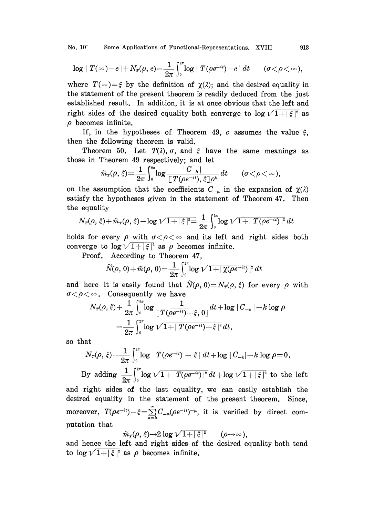No. 10] Some Applications of Functional-Representations. XVIII 913

$$
\log \mid T(\infty)\!-\!c\!\mid + N_r(\rho, c)\!=\!\frac{1}{2\pi}\int_0^{2\pi}\!\log \mid T(\rho e^{-it})\!-\!c\!\mid dt \qquad (\sigma\!<\!\rho\!<\!\infty),
$$

where  $T(\infty) = \xi$  by the definition of  $\chi(\lambda)$ ; and the desired equality in the statement of the present theorem is readily deduced from the just established result. In addition, it is at once obvious that the left and right sides of the desired equality both converge to  $\log \sqrt{1 + |\xi|^2}$  as  $\rho$  becomes infinite.

If, in the hypotheses of Theorem 49, c assumes the value  $\xi$ , then the following theorem is valid.

Theorem 50. Let  $T(\lambda)$ ,  $\sigma$ , and  $\xi$  have the same meanings as those in Theorem 49 respectively; and let

$$
\widetilde{m}_{\scriptscriptstyle T}(\rho,\,\xi)\!=\!\frac{1}{2\pi}\int_{\scriptscriptstyle 0}^{z\pi}\!\!\log\frac{|C_{-k}|}{[\,T(\rho e^{-it}),\,\xi\,]\rho^k}\,dt\qquad(\sigma\!<\!\rho\!<\!\infty),
$$

on the assumption that the coefficients  $C_{-\mu}$  in the expansion of  $\chi(\lambda)$ satisfy the hypotheses given in the statement of Theorem 47. Then the equality

$$
N_{\text{\tiny $T$}}(\rho, \, \hat{\varepsilon}) \! + \! \widetilde{m}_{\text{\tiny $T$}}(\rho, \, \hat{\varepsilon}) \! - \! \log \sqrt{1 \! + \! \mid \hat{\varepsilon} \! \mid^2} \! \! = \! \frac{1}{2\pi} \! \int_{\text{\tiny $0$}}^{\text{\tiny $25$}} \! \log \sqrt{1 \! + \! \mid T(\rho e^{- i t}) \! \mid^2} \, dt
$$

holds for every  $\rho$  with  $\sigma < \rho < \infty$  and its left and right sides both converge to  $\log \sqrt{1+|\xi|^2}$  as  $\rho$  becomes infinite.

Proof. According to Theorem 47,

$$
\widetilde{N}(\rho, 0) + \widetilde{m}(\rho, 0) = \frac{1}{2\pi} \int_0^{2\pi} \log \sqrt{1 + |\chi(\rho e^{-it})|^2} dt
$$

and here it is easily found that  $\tilde{N}(\rho, 0)=N_T(\rho, \xi)$  for every  $\rho$  with  $\sigma \langle \rho \langle \infty$ . Consequently we have

$$
\begin{aligned} N_T(\rho,\,\xi) + & \frac{1}{2\pi} \int_0^{2\pi} & \log \frac{1}{\left[\,T(\rho e^{-it}) - \xi,\,0\,\right]} dt + \log \mid C_{-k} \mid -k \log \rho \\ & = \frac{1}{2\pi} \int_0^{2\pi} & \log \sqrt{1 + \mid T(\rho e^{-it}) - \xi\mid^2} \, dt, \end{aligned}
$$

so that

$$
N_r(\rho,\,\xi)\!=\!\frac{1}{2\pi}\int_0^{2\pi}\!\!\log\mid T(\rho e^{-it})-\xi\mid dt\!+\!\log\mid\! C_{-k}\!\!\mid\!-k\log\rho\!=\!0\,.
$$

By adding  $\frac{1}{2\pi} \int_0^{\pi} \log \sqrt{1+|T(\rho e^{-it})|^2} dt + \log \sqrt{1+|\xi|^2}$  to the left

and right sides of the last equality, we can easily establish the desired equality in the statement of the present theorem. Since, moreover,  $T(\rho e^{-it}) - \xi = \sum_{\mu=k}^{\infty} C_{-\mu}(\rho e^{-it})^{-\mu}$ , it is verified by direct computation that

$$
\widetilde{m}_r(\rho,\xi) {\rightarrow} 2\log \sqrt{1+|\xi|^2} \qquad (\rho {\rightarrow} \infty),
$$

putation that  $\widetilde{m}_{\scriptscriptstyle T}(\rho,\,\xi)$   $\!\!\rightarrow$   $\!\!2 \log \sqrt{1 + |\xi|^2}$  ( $\rho$   $\!\!\rightarrow$   $\!\!\infty$ ),<br>and hence the left and right sides of the desired equality both tend to  $\log \sqrt{1+|\xi|^2}$  as  $\rho$  becomes infinite.